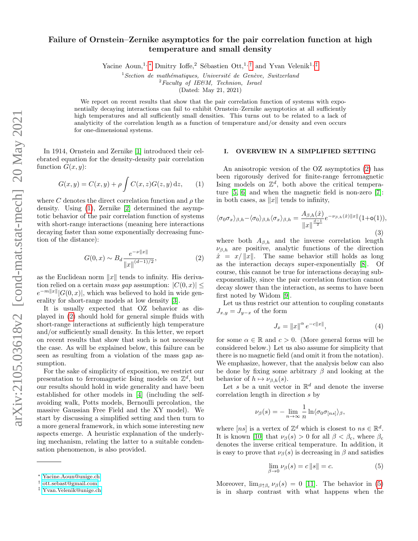# Failure of Ornstein–Zernike asymptotics for the pair correlation function at high temperature and small density

Yacine Aoun,<sup>1, \*</sup> Dmitry Ioffe,<sup>2</sup> Sébastien Ott,<sup>1,[†](#page-0-1)</sup> and Yvan Velenik<sup>1,[‡](#page-0-2)</sup>

 $1$ Section de mathématiques, Université de Genève, Switzerland  $2$ Faculty of IE&M, Technion, Israel

(Dated: May 21, 2021)

We report on recent results that show that the pair correlation function of systems with exponentially decaying interactions can fail to exhibit Ornstein–Zernike asymptotics at all sufficiently high temperatures and all sufficiently small densities. This turns out to be related to a lack of analyticity of the correlation length as a function of temperature and/or density and even occurs for one-dimensional systems.

In 1914, Ornstein and Zernike [\[1\]](#page-4-0) introduced their celebrated equation for the density-density pair correlation function  $G(x, y)$ :

<span id="page-0-3"></span>
$$
G(x,y) = C(x,y) + \rho \int C(x,z)G(z,y) dz,
$$
 (1)

where C denotes the direct correlation function and  $\rho$  the density. Using [\(1\)](#page-0-3), Zernike [\[2\]](#page-4-1) determined the asymptotic behavior of the pair correlation function of systems with short-range interactions (meaning here interactions decaying faster than some exponentially decreasing function of the distance):

<span id="page-0-4"></span>
$$
G(0, x) \sim B_d \frac{e^{-\nu ||x||}}{||x||^{(d-1)/2}},
$$
\n(2)

as the Euclidean norm  $||x||$  tends to infinity. His derivation relied on a certain mass gap assumption:  $|C(0, x)| \le$  $e^{-m||x||}|G(0, x)|$ , which was believed to hold in wide generality for short-range models at low density [\[3\]](#page-4-2).

It is usually expected that OZ behavior as displayed in [\(2\)](#page-0-4) should hold for general simple fluids with short-range interactions at sufficiently high temperature and/or sufficiently small density. In this letter, we report on recent results that show that such is not necessarily the case. As will be explained below, this failure can be seen as resulting from a violation of the mass gap assumption.

For the sake of simplicity of exposition, we restrict our presentation to ferromagnetic Ising models on  $\mathbb{Z}^d$ , but our results should hold in wide generality and have been established for other models in [\[4\]](#page-4-3) (including the selfavoiding walk, Potts models, Bernoulli percolation, the massive Gaussian Free Field and the XY model). We start by discussing a simplified setting and then turn to a more general framework, in which some interesting new aspects emerge. A heuristic explanation of the underlying mechanism, relating the latter to a suitable condensation phenomenon, is also provided.

### I. OVERVIEW IN A SIMPLIFIED SETTING

An anisotropic version of the OZ asymptotics [\(2\)](#page-0-4) has been rigorously derived for finite-range ferromagnetic Ising models on  $\mathbb{Z}^d$ , both above the critical tempera-ture [\[5,](#page-4-4) [6\]](#page-4-5) and when the magnetic field is non-zero [\[7\]](#page-4-6): in both cases, as  $||x||$  tends to infinity,

<span id="page-0-6"></span>
$$
\langle \sigma_0 \sigma_x \rangle_{\beta, h} - \langle \sigma_0 \rangle_{\beta, h} \langle \sigma_x \rangle_{\beta, h} = \frac{A_{\beta, h}(\hat{x})}{\|x\|^{\frac{d-1}{2}}} e^{-\nu_{\beta, h}(\hat{x}) \|x\|} (1 + \mathsf{o}(1)),
$$
\n(3)

where both  $A_{\beta,h}$  and the inverse correlation length  $\nu_{\beta,h}$  are positive, analytic functions of the direction  $\hat{x} = x/||x||$ . The same behavior still holds as long as the interaction decays super-exponentially [\[8\]](#page-4-7). Of course, this cannot be true for interactions decaying subexponentially, since the pair correlation function cannot decay slower than the interaction, as seems to have been first noted by Widom [\[9\]](#page-4-8).

Let us thus restrict our attention to coupling constants  $J_{x,y} = J_{y-x}$  of the form

<span id="page-0-7"></span>
$$
J_x = \|x\|^{\alpha} e^{-c\|x\|},\tag{4}
$$

for some  $\alpha \in \mathbb{R}$  and  $c > 0$ . (More general forms will be considered below.) Let us also assume for simplicity that there is no magnetic field (and omit it from the notation). We emphasize, however, that the analysis below can also be done by fixing some arbitrary  $\beta$  and looking at the behavior of  $h \mapsto \nu_{\beta,h}(s)$ .

Let s be a unit vector in  $\mathbb{R}^d$  and denote the inverse correlation length in direction s by

$$
\nu_{\beta}(s) = -\lim_{n \to \infty} \frac{1}{n} \ln \langle \sigma_0 \sigma_{[ns]} \rangle_{\beta},
$$

where  $[ns]$  is a vertex of  $\mathbb{Z}^d$  which is closest to  $ns \in \mathbb{R}^d$ . It is known [\[10\]](#page-4-9) that  $\nu_\beta(s) > 0$  for all  $\beta < \beta_c$ , where  $\beta_c$ denotes the inverse critical temperature. In addition, it is easy to prove that  $\nu_{\beta}(s)$  is decreasing in  $\beta$  and satisfies

<span id="page-0-5"></span>
$$
\lim_{\beta \to 0} \nu_{\beta}(s) = c \|s\| = c. \tag{5}
$$

Moreover,  $\lim_{\beta \uparrow \beta_c} \nu_{\beta}(s) = 0$  [\[11\]](#page-4-10). The behavior in [\(5\)](#page-0-5) is in sharp contrast with what happens when the

<span id="page-0-0"></span><sup>∗</sup> [Yacine.Aoun@unige.ch](mailto:Yacine.Aoun@unige.ch)

<span id="page-0-1"></span><sup>†</sup> [ott.sebast@gmail.com](mailto:ott.sebast@gmail.com)

<span id="page-0-2"></span><sup>‡</sup> [Yvan.Velenik@unige.ch](mailto:Yvan.Velenik@unige.ch)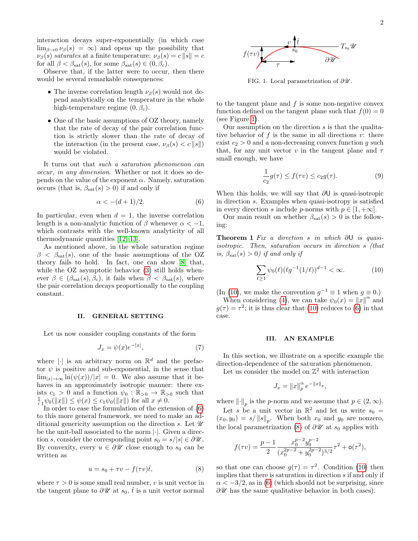interaction decays super-exponentially (in which case  $\lim_{\beta\to 0} \nu_\beta(s) = \infty$  and opens up the possibility that  $\nu_\beta(s)$  saturates at a finite temperature:  $\nu_\beta(s) = c \|s\| = c$ for all  $\beta < \beta_{\text{sat}}(s)$ , for some  $\beta_{\text{sat}}(s) \in (0, \beta_c)$ .

Observe that, if the latter were to occur, then there would be several remarkable consequences:

- The inverse correlation length  $\nu_\beta(s)$  would not depend analytically on the temperature in the whole high-temperature regime  $(0, \beta_c)$ .
- One of the basic assumptions of OZ theory, namely that the rate of decay of the pair correlation function is strictly slower than the rate of decay of the interaction (in the present case,  $\nu_\beta(s) < c \|s\|$ ) would be violated.

It turns out that such a saturation phenomenon can occur, in any dimension. Whether or not it does so depends on the value of the exponent  $\alpha$ . Namely, saturation occurs (that is,  $\beta_{\text{sat}}(s) > 0$ ) if and only if

<span id="page-1-0"></span>
$$
\alpha < -(d+1)/2.
$$
 (6)

In particular, even when  $d = 1$ , the inverse correlation length is a non-analytic function of  $\beta$  whenever  $\alpha < -1$ , which contrasts with the well-known analyticity of all thermodynamic quantities [\[12,](#page-4-11) [13\]](#page-4-12).

As mentioned above, in the whole saturation regime  $\beta$  <  $\beta_{\text{sat}}(s)$ , one of the basic assumptions of the OZ theory fails to hold. In fact, one can show [\[8\]](#page-4-7) that, while the OZ asymptotic behavior [\(3\)](#page-0-6) still holds whenever  $\beta \in (\beta_{\text{sat}}(s), \beta_c)$ , it fails when  $\beta < \beta_{\text{sat}}(s)$ , where the pair correlation decays proportionally to the coupling constant.

#### II. GENERAL SETTING

Let us now consider coupling constants of the form

<span id="page-1-5"></span>
$$
J_x = \psi(x)e^{-|x|},\tag{7}
$$

where || is an arbitrary norm on  $\mathbb{R}^d$  and the prefactor  $\psi$  is positive and sub-exponential, in the sense that  $\lim_{|x|\to\infty} \ln(\psi(x))/|x| = 0$ . We also assume that it behaves in an approximately isotropic manner: there exists  $c_1 > 0$  and a function  $\psi_0 : \mathbb{R}_{>0} \to \mathbb{R}_{>0}$  such that  $\frac{1}{c_1}\psi_0(\|x\|) \leq \psi(x) \leq c_1\psi_0(\|x\|)$  for all  $x \neq 0$ .

In order to ease the formulation of the extension of [\(6\)](#page-1-0) to this more general framework, we need to make an additional genericity assumption on the direction s. Let  $\mathcal U$ be the unit-ball associated to the norm |·|. Given a direction s, consider the corresponding point  $s_0 = s/|s| \in \partial \mathcal{U}$ . By convexity, every  $u \in \partial \mathscr{U}$  close enough to  $s_0$  can be written as

<span id="page-1-3"></span>
$$
u = s_0 + \tau v - f(\tau v)\hat{t},\tag{8}
$$

where  $\tau > 0$  is some small real number, v is unit vector in the tangent plane to  $\partial \mathscr{U}$  at  $s_0$ ,  $\hat{t}$  is a unit vector normal



<span id="page-1-1"></span>FIG. 1. Local parametrization of  $\partial \mathscr{U}$ .

to the tangent plane and  $f$  is some non-negative convex function defined on the tangent plane such that  $f(0) = 0$ (see Figure [1\)](#page-1-1).

Our assumption on the direction  $s$  is that the qualitative behavior of  $f$  is the same in all directions  $v$ : there exist  $c_2 > 0$  and a non-decreasing convex function g such that, for any unit vector v in the tangent plane and  $\tau$ small enough, we have

$$
\frac{1}{c_2}g(\tau) \le f(\tau v) \le c_2 g(\tau). \tag{9}
$$

When this holds, we will say that  $\partial U$  is quasi-isotropic in direction s. Examples when quasi-isotropy is satisfied in every direction s include p-norms with  $p \in [1, +\infty]$ .

<span id="page-1-4"></span>Our main result on whether  $\beta_{\text{sat}}(s) > 0$  is the following:

Theorem 1 Fix a direction s in which  $\partial U$  is quasiisotropic. Then, saturation occurs in direction s (that is,  $\beta_{\text{sat}}(s) > 0$ ) if and only if

<span id="page-1-2"></span>
$$
\sum_{\ell \ge 1} \psi_0(\ell) (\ell g^{-1}(1/\ell))^{d-1} < \infty. \tag{10}
$$

(In [\(10\)](#page-1-2), we make the convention  $g^{-1} \equiv 1$  when  $g \equiv 0$ .)

When considering [\(4\)](#page-0-7), we can take  $\psi_0(x) = ||x||^{\alpha}$  and  $g(\tau) = \tau^2$ ; it is thus clear that [\(10\)](#page-1-2) reduces to [\(6\)](#page-1-0) in that case.

### III. AN EXAMPLE

In this section, we illustrate on a specific example the direction-dependence of the saturation phenomenon.

Let us consider the model on  $\mathbb{Z}^2$  with interaction

$$
J_x = \|x\|_p^{\alpha} e^{-\|x\|_p},
$$

where  $\lVert \cdot \rVert_p$  is the p-norm and we assume that  $p \in (2, \infty)$ .

Let s be a unit vector in  $\mathbb{R}^2$  and let us write  $s_0 =$  $(x_0, y_0) = s / ||s||_p$ . When both  $x_0$  and  $y_0$  are nonzero, the local parametrization [\(8\)](#page-1-3) of  $\partial \mathscr{U}$  at  $s_0$  applies with

$$
f(\tau v) = \frac{p-1}{2} \frac{x_0^{p-2} y_0^{p-2}}{(x_0^{2p-2} + y_0^{2p-2})^{3/2}} \tau^2 + o(\tau^2),
$$

so that one can choose  $g(\tau) = \tau^2$ . Condition [\(10\)](#page-1-2) then implies that there is saturation in direction s if and only if  $\alpha < -3/2$ , as in [\(6\)](#page-1-0) (which should not be surprising, since  $\partial \mathscr{U}$  has the same qualitative behavior in both cases).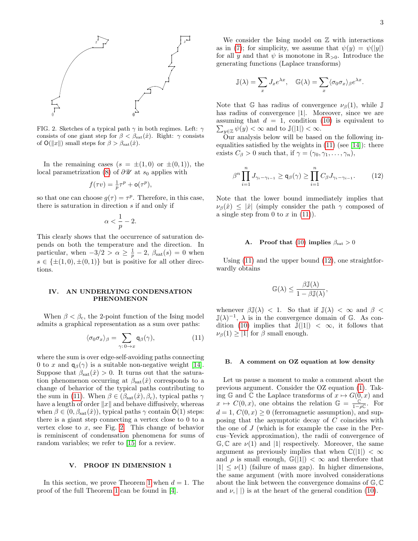

<span id="page-2-1"></span>FIG. 2. Sketches of a typical path  $\gamma$  in both regimes. Left:  $\gamma$ consists of one giant step for  $\beta < \beta_{\text{sat}}(\hat{x})$ . Right:  $\gamma$  consists of  $\mathsf{O}(\Vert x \Vert)$  small steps for  $\beta > \beta_{\text{sat}}(\hat{x})$ .

In the remaining cases  $(s = \pm(1, 0)$  or  $\pm(0, 1)$ , the local parametrization [\(8\)](#page-1-3) of  $\partial \mathscr{U}$  at  $s_0$  applies with

$$
f(\tau v) = \frac{1}{p}\tau^p + o(\tau^p),
$$

so that one can choose  $g(\tau) = \tau^p$ . Therefore, in this case, there is saturation in direction s if and only if

$$
\alpha<\frac{1}{p}-2.
$$

This clearly shows that the occurrence of saturation depends on both the temperature and the direction. In particular, when  $-3/2 > \alpha \geq \frac{1}{p} - 2$ ,  $\beta_{\text{sat}}(s) = 0$  when  $s \in {\pm (1, 0), \pm (0, 1)}$  but is positive for all other directions.

## IV. AN UNDERLYING CONDENSATION PHENOMENON

When  $\beta < \beta_c$ , the 2-point function of the Ising model admits a graphical representation as a sum over paths:

<span id="page-2-0"></span>
$$
\langle \sigma_0 \sigma_x \rangle_{\beta} = \sum_{\gamma : 0 \to x} \mathsf{q}_{\beta}(\gamma), \tag{11}
$$

where the sum is over edge-self-avoiding paths connecting 0 to x and  $q_\beta(\gamma)$  is a suitable non-negative weight [\[14\]](#page-4-13). Suppose that  $\beta_{\rm sat}(\hat{x}) > 0$ . It turns out that the saturation phenomenon occurring at  $\beta_{\text{sat}}(\hat{x})$  corresponds to a change of behavior of the typical paths contributing to the sum in [\(11\)](#page-2-0). When  $\beta \in (\beta_{\text{sat}}(\hat{x}), \beta_c)$ , typical paths  $\gamma$ have a length of order  $||x||$  and behave diffusively, whereas when  $\beta \in (0, \beta_{\text{sat}}(\hat{x}))$ , typical paths  $\gamma$  contain  $\mathsf{O}(1)$  steps: there is a giant step connecting a vertex close to 0 to a vertex close to  $x$ , see Fig. [2.](#page-2-1) This change of behavior is reminiscent of condensation phenomena for sums of random variables; we refer to [\[15\]](#page-4-14) for a review.

## V. PROOF IN DIMENSION 1

In this section, we prove Theorem [1](#page-1-4) when  $d = 1$ . The proof of the full Theorem [1](#page-1-4) can be found in [\[4\]](#page-4-3).

We consider the Ising model on  $Z$  with interactions as in [\(7\)](#page-1-5); for simplicity, we assume that  $\psi(y) = \psi(|y|)$ for all y and that  $\psi$  is monotone in  $\mathbb{R}_{>0}$ . Introduce the generating functions (Laplace transforms)

$$
\mathbb{J}(\lambda) = \sum_{x} J_x e^{\lambda x}, \quad \mathbb{G}(\lambda) = \sum_{x} \langle \sigma_0 \sigma_x \rangle_{\beta} e^{\lambda x}.
$$

Note that G has radius of convergence  $\nu_\beta(1)$ , while J has radius of convergence |1|. Moreover, since we are assuming that  $d = 1$ , condition [\(10\)](#page-1-2) is equivalent to  $\sum_{y\in\mathbb{Z}}\psi(y)<\infty$  and to  $\mathbb{J}(|1|)<\infty$ .

Our analysis below will be based on the following inequalities satisfied by the weights in  $(11)$  (see [\[14\]](#page-4-13)): there exists  $C_{\beta} > 0$  such that, if  $\gamma = (\gamma_0, \gamma_1, \dots, \gamma_n),$ 

β

<span id="page-2-2"></span>
$$
\beta^n \prod_{i=1}^n J_{\gamma_i - \gamma_{i-1}} \ge \mathsf{q}_{\beta}(\gamma) \ge \prod_{i=1}^n C_{\beta} J_{\gamma_i - \gamma_{i-1}}.\tag{12}
$$

Note that the lower bound immediately implies that  $\nu_\beta(\hat{x}) \leq |\hat{x}|$  (simply consider the path  $\gamma$  composed of a single step from 0 to  $x$  in [\(11\)](#page-2-0)).

### A. Proof that [\(10\)](#page-1-2) implies  $\beta_{\text{sat}} > 0$

Using [\(11\)](#page-2-0) and the upper bound [\(12\)](#page-2-2), one straightforwardly obtains

$$
\mathbb{G}(\lambda) \leq \frac{\beta \mathbb{J}(\lambda)}{1 - \beta \mathbb{J}(\lambda)},
$$

whenever  $\beta \mathbb{J}(\lambda) < 1$ . So that if  $\mathbb{J}(\lambda) < \infty$  and  $\beta <$  $\mathbb{J}(\lambda)^{-1}$ ,  $\lambda$  is in the convergence domain of G. As con-dition [\(10\)](#page-1-2) implies that  $\mathbb{J}(|1|) < \infty$ , it follows that  $\nu_\beta(1) \geq |1|$  for  $\beta$  small enough.

#### B. A comment on OZ equation at low density

Let us pause a moment to make a comment about the previous argument. Consider the OZ equation [\(1\)](#page-0-3). Taking G and C the Laplace transforms of  $x \mapsto G(0, x)$  and  $x \mapsto C(0, x)$ , one obtains the relation  $\mathbb{G} = \frac{\mathbb{C}'}{1-\rho\mathbb{C}}$ . For  $d = 1, C(0, x) \geq 0$  (ferromagnetic assumption), and supposing that the asymptotic decay of C coincides with the one of J (which is for example the case in the Percus–Yevick approximation), the radii of convergence of  $\mathbb{G}, \mathbb{C}$  are  $\nu(1)$  and  $|1|$  respectively. Moreover, the same argument as previously implies that when  $\mathbb{C}(|1|) < \infty$ and  $\rho$  is small enough,  $\mathbb{G}(|1|) < \infty$  and therefore that  $|1| \leq \nu(1)$  (failure of mass gap). In higher dimensions, the same argument (with more involved considerations about the link between the convergence domains of G, C and  $\nu$ ,  $|\,\|$  is at the heart of the general condition [\(10\)](#page-1-2).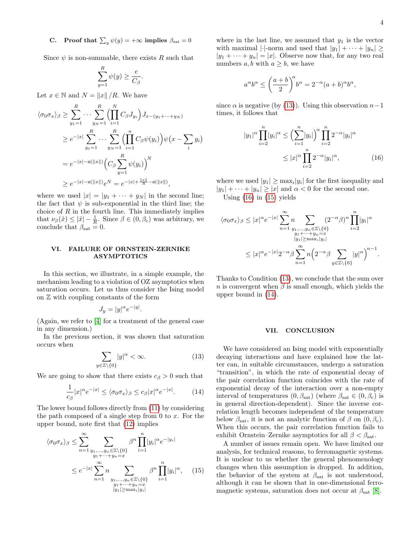# **C.** Proof that  $\sum_{y} \psi(y) = +\infty$  implies  $\beta_{\text{sat}} = 0$

Since  $\psi$  is non-summable, there exists R such that

$$
\sum_{y=1}^R \psi(y) \geq \frac{e}{C_\beta}.
$$

Let  $x \in \mathbb{N}$  and  $N = ||x|| / R$ . We have

$$
\langle \sigma_0 \sigma_x \rangle_{\beta} \ge \sum_{y_1=1}^R \cdots \sum_{y_N=1}^R \Biggl( \prod_{i=1}^N C_{\beta} J_{y_i} \Biggr) J_{x-(y_1 + \cdots + y_N)}
$$
  
\n
$$
\ge e^{-|x|} \sum_{y_1=1}^R \cdots \sum_{y_N=1}^R \Biggl( \prod_{i=1}^n C_{\beta} \psi(y_i) \Biggr) \psi(x - \sum_i y_i)
$$
  
\n
$$
= e^{-|x| - o(||x||)} \Biggl( C_{\beta} \sum_{y=1}^R \psi(y_i) \Biggr)^N
$$
  
\n
$$
\ge e^{-|x| - o(||x||)} e^N = e^{-|x| + \frac{||x||}{R} - o(||x||)},
$$

where we used  $|x| = |y_1 + \cdots + y_N|$  in the second line; the fact that  $\psi$  is sub-exponential in the third line; the choice of  $R$  in the fourth line. This immediately implies that  $\nu_{\beta}(\hat{x}) \leq |\hat{x}| - \frac{1}{R}$ . Since  $\beta \in (0, \beta_c)$  was arbitrary, we conclude that  $\beta_{\text{sat}} = 0$ .

## VI. FAILURE OF ORNSTEIN-ZERNIKE ASYMPTOTICS

In this section, we illustrate, in a simple example, the mechanism leading to a violation of OZ asymptotics when saturation occurs. Let us thus consider the Ising model on Z with coupling constants of the form

$$
J_y = |y|^\alpha e^{-|y|}.
$$

(Again, we refer to [\[4\]](#page-4-3) for a treatment of the general case in any dimension.)

In the previous section, it was shown that saturation occurs when

<span id="page-3-0"></span>
$$
\sum_{\in \mathbb{Z}\setminus\{0\}} |y|^{\alpha} < \infty. \tag{13}
$$

We are going to show that there exists  $c_{\beta} > 0$  such that

 $y$ 

<span id="page-3-3"></span>
$$
\frac{1}{c_{\beta}}|x|^{\alpha}e^{-|x|} \le \langle \sigma_0 \sigma_x \rangle_{\beta} \le c_{\beta}|x|^{\alpha}e^{-|x|}.\tag{14}
$$

The lower bound follows directly from [\(11\)](#page-2-0) by considering the path composed of a single step from 0 to  $x$ . For the upper bound, note first that [\(12\)](#page-2-2) implies

$$
\langle \sigma_0 \sigma_x \rangle_{\beta} \leq \sum_{n=1}^{\infty} \sum_{\substack{y_1, \dots, y_n \in \mathbb{Z} \setminus \{0\} \\ y_1 + \dots + y_n = x}} \beta^n \prod_{i=1}^n |y_i|^{\alpha} e^{-|y_i|}
$$
  

$$
\leq e^{-|x|} \sum_{n=1}^{\infty} n \sum_{\substack{y_1, \dots, y_n \in \mathbb{Z} \setminus \{0\} \\ y_1 + \dots + y_n = x}} \beta^n \prod_{i=1}^n |y_i|^{\alpha}, \quad (15)
$$
  

$$
|y_1| \geq \max_i |y_i|
$$

where in the last line, we assumed that  $y_1$  is the vector with maximal  $|\cdot|$ -norm and used that  $|y_1| + \cdots + |y_n| \ge$  $|y_1 + \cdots + y_n| = |x|$ . Observe now that, for any two real numbers  $a, b$  with  $a \geq b$ , we have

$$
a^{\alpha}b^{\alpha} \le \left(\frac{a+b}{2}\right)^{\alpha}b^{\alpha} = 2^{-\alpha}(a+b)^{\alpha}b^{\alpha},
$$

since  $\alpha$  is negative (by [\(13\)](#page-3-0)). Using this observation  $n-1$ times, it follows that

<span id="page-3-1"></span>
$$
|y_1|^{\alpha} \prod_{i=2}^n |y_i|^{\alpha} \le \left(\sum_{i=1}^n |y_i|\right)^{\alpha} \prod_{i=2}^n 2^{-\alpha} |y_i|^{\alpha}
$$

$$
\le |x|^{\alpha} \prod_{i=2}^n 2^{-\alpha} |y_i|^{\alpha}, \tag{16}
$$

where we used  $|y_1| \ge \max_i |y_i|$  for the first inequality and  $|y_1| + \cdots + |y_n| \geq |x|$  and  $\alpha < 0$  for the second one.

Using  $(16)$  in  $(15)$  yields

$$
\langle \sigma_0 \sigma_x \rangle_{\beta} \le |x|^{\alpha} e^{-|x|} \sum_{n=1}^{\infty} n \sum_{\substack{y_1, \dots, y_n \in \mathbb{Z} \setminus \{0\} \\ y_1 + \dots + y_n = x \\ |y_1| \ge \max_i |y_i|}} (2^{-\alpha} \beta)^n \prod_{i=2}^n |y_i|^{\alpha}
$$
  

$$
\le |x|^{\alpha} e^{-|x|} 2^{-\alpha} \beta \sum_{n=1}^{\infty} n \left( 2^{-\alpha} \beta \sum_{y \in \mathbb{Z} \setminus \{0\}} |y|^{\alpha} \right)^{n-1}.
$$

Thanks to Condition [\(13\)](#page-3-0), we conclude that the sum over n is convergent when  $\beta$  is small enough, which yields the upper bound in [\(14\)](#page-3-3).

## VII. CONCLUSION

We have considered an Ising model with exponentially decaying interactions and have explained how the latter can, in suitable circumstances, undergo a saturation "transition", in which the rate of exponential decay of the pair correlation function coincides with the rate of exponential decay of the interaction over a non-empty interval of temperatures  $(0, \beta_{\text{sat}})$  (where  $\beta_{\text{sat}} \in (0, \beta_{\text{c}})$  is in general direction-dependent). Since the inverse correlation length becomes independent of the temperature below  $\beta_{\text{sat}}$ , it is not an analytic function of  $\beta$  on  $(0, \beta_c)$ . When this occurs, the pair correlation function fails to exhibit Ornstein–Zernike asymptotics for all  $\beta < \beta_{\text{sat}}$ .

<span id="page-3-2"></span>A number of issues remain open. We have limited our analysis, for technical reasons, to ferromagnetic systems. It is unclear to us whether the general phenomenology changes when this assumption is dropped. In addition, the behavior of the system at  $\beta_{\text{sat}}$  is not understood, although it can be shown that in one-dimensional ferromagnetic systems, saturation does not occur at  $\beta_{\text{sat}}$  [\[8\]](#page-4-7).